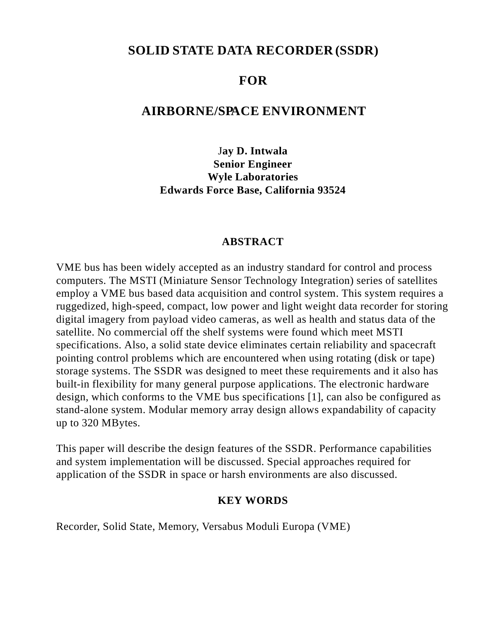# **SOLID STATE DATA RECORDER(SSDR)**

# **FOR**

# **AIRBORNE/SPACE ENVIRONMENT**

J**ay D. Intwala Senior Engineer Wyle Laboratories Edwards Force Base, California 93524**

#### **ABSTRACT**

VME bus has been widely accepted as an industry standard for control and process computers. The MSTI (Miniature Sensor Technology Integration) series of satellites employ a VME bus based data acquisition and control system. This system requires a ruggedized, high-speed, compact, low power and light weight data recorder for storing digital imagery from payload video cameras, as well as health and status data of the satellite. No commercial off the shelf systems were found which meet MSTI specifications. Also, a solid state device eliminates certain reliability and spacecraft pointing control problems which are encountered when using rotating (disk or tape) storage systems. The SSDR was designed to meet these requirements and it also has built-in flexibility for many general purpose applications. The electronic hardware design, which conforms to the VME bus specifications [1], can also be configured as stand-alone system. Modular memory array design allows expandability of capacity up to 320 MBytes.

This paper will describe the design features of the SSDR. Performance capabilities and system implementation will be discussed. Special approaches required for application of the SSDR in space or harsh environments are also discussed.

#### **KEY WORDS**

Recorder, Solid State, Memory, Versabus Moduli Europa (VME)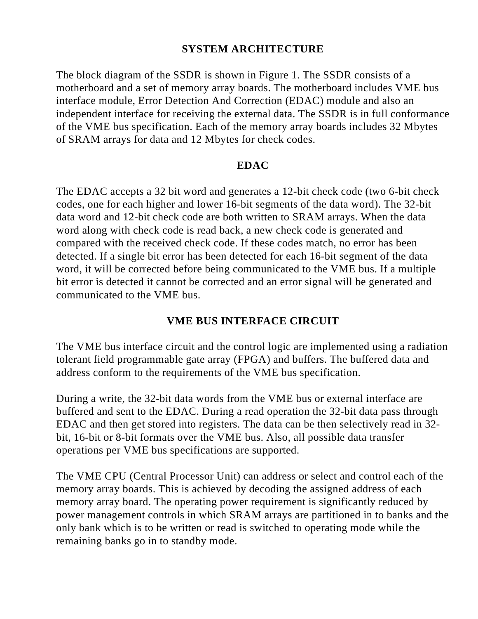# **SYSTEM ARCHITECTURE**

The block diagram of the SSDR is shown in Figure 1. The SSDR consists of a motherboard and a set of memory array boards. The motherboard includes VME bus interface module, Error Detection And Correction (EDAC) module and also an independent interface for receiving the external data. The SSDR is in full conformance of the VME bus specification. Each of the memory array boards includes 32 Mbytes of SRAM arrays for data and 12 Mbytes for check codes.

#### **EDAC**

The EDAC accepts a 32 bit word and generates a 12-bit check code (two 6-bit check codes, one for each higher and lower 16-bit segments of the data word). The 32-bit data word and 12-bit check code are both written to SRAM arrays. When the data word along with check code is read back, a new check code is generated and compared with the received check code. If these codes match, no error has been detected. If a single bit error has been detected for each 16-bit segment of the data word, it will be corrected before being communicated to the VME bus. If a multiple bit error is detected it cannot be corrected and an error signal will be generated and communicated to the VME bus.

### **VME BUS INTERFACE CIRCUIT**

The VME bus interface circuit and the control logic are implemented using a radiation tolerant field programmable gate array (FPGA) and buffers. The buffered data and address conform to the requirements of the VME bus specification.

During a write, the 32-bit data words from the VME bus or external interface are buffered and sent to the EDAC. During a read operation the 32-bit data pass through EDAC and then get stored into registers. The data can be then selectively read in 32 bit, 16-bit or 8-bit formats over the VME bus. Also, all possible data transfer operations per VME bus specifications are supported.

The VME CPU (Central Processor Unit) can address or select and control each of the memory array boards. This is achieved by decoding the assigned address of each memory array board. The operating power requirement is significantly reduced by power management controls in which SRAM arrays are partitioned in to banks and the only bank which is to be written or read is switched to operating mode while the remaining banks go in to standby mode.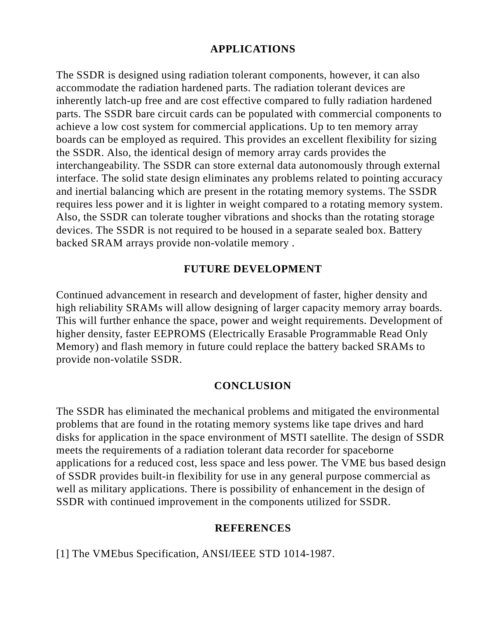# **APPLICATIONS**

The SSDR is designed using radiation tolerant components, however, it can also accommodate the radiation hardened parts. The radiation tolerant devices are inherently latch-up free and are cost effective compared to fully radiation hardened parts. The SSDR bare circuit cards can be populated with commercial components to achieve a low cost system for commercial applications. Up to ten memory array boards can be employed as required. This provides an excellent flexibility for sizing the SSDR. Also, the identical design of memory array cards provides the interchangeability. The SSDR can store external data autonomously through external interface. The solid state design eliminates any problems related to pointing accuracy and inertial balancing which are present in the rotating memory systems. The SSDR requires less power and it is lighter in weight compared to a rotating memory system. Also, the SSDR can tolerate tougher vibrations and shocks than the rotating storage devices. The SSDR is not required to be housed in a separate sealed box. Battery backed SRAM arrays provide non-volatile memory .

### **FUTURE DEVELOPMENT**

Continued advancement in research and development of faster, higher density and high reliability SRAMs will allow designing of larger capacity memory array boards. This will further enhance the space, power and weight requirements. Development of higher density, faster EEPROMS (Electrically Erasable Programmable Read Only Memory) and flash memory in future could replace the battery backed SRAMs to provide non-volatile SSDR.

### **CONCLUSION**

The SSDR has eliminated the mechanical problems and mitigated the environmental problems that are found in the rotating memory systems like tape drives and hard disks for application in the space environment of MSTI satellite. The design of SSDR meets the requirements of a radiation tolerant data recorder for spaceborne applications for a reduced cost, less space and less power. The VME bus based design of SSDR provides built-in flexibility for use in any general purpose commercial as well as military applications. There is possibility of enhancement in the design of SSDR with continued improvement in the components utilized for SSDR.

### **REFERENCES**

[1] The VMEbus Specification, ANSI/IEEE STD 1014-1987.